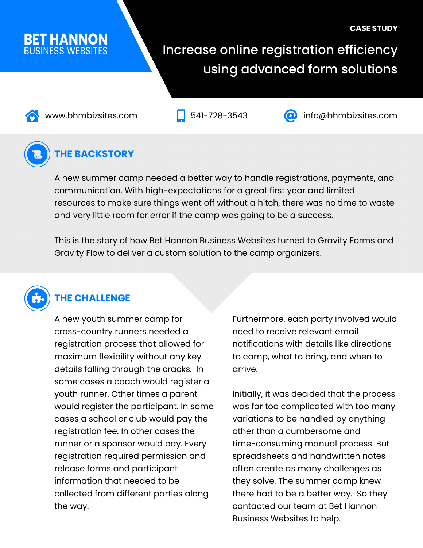#### **BET HANNON RUSINESS WEBSITES**

# Increase online registration efficiency using advanced form solutions



<www.bhmbizsites.com> 1541-728-3543 **a** [info@bhmbizsites.com](mailto:info@bhmbizsites.com)



# **THE BACKSTORY**

A new summer camp needed a better way to handle registrations, payments, and communication. With high-expectations for a great first year and limited resources to make sure things went off without a hitch, there was no time to waste and very little room for error if the camp was going to be a success.

This is the story of how Bet Hannon Business Websites turned to Gravity Forms and Gravity Flow to deliver a custom solution to the camp organizers.



# **THE CHALLENGE**

A new youth summer camp for cross-country runners needed a registration process that allowed for maximum flexibility without any key details falling through the cracks. In some cases a coach would register a youth runner. Other times a parent would register the participant. In some cases a school or club would pay the registration fee. In other cases the runner or a sponsor would pay. Every registration required permission and release forms and participant information that needed to be collected from different parties along the way.

Furthermore, each party involved would need to receive relevant email notifications with details like directions to camp, what to bring, and when to arrive.

Initially, it was decided that the process was far too complicated with too many variations to be handled by anything other than a cumbersome and time-consuming manual process. But spreadsheets and handwritten notes often create as many challenges as they solve. The summer camp knew there had to be a better way. So they contacted our team at Bet Hannon Business Websites to help.